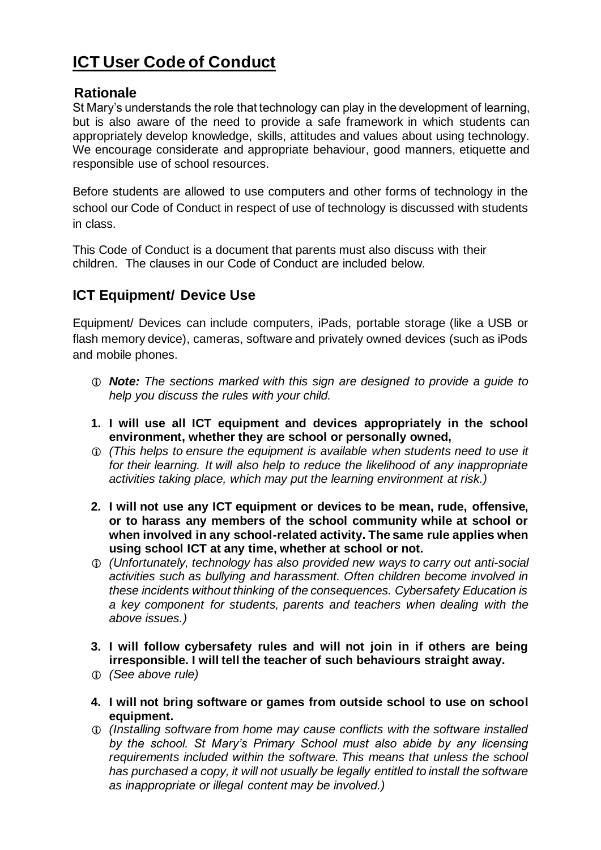## **ICT User Code of Conduct**

## **Rationale**

St Mary's understands the role that technology can play in the development of learning, but is also aware of the need to provide a safe framework in which students can appropriately develop knowledge, skills, attitudes and values about using technology. We encourage considerate and appropriate behaviour, good manners, etiquette and responsible use of school resources.

Before students are allowed to use computers and other forms of technology in the school our Code of Conduct in respect of use of technology is discussed with students in class.

This Code of Conduct is a document that parents must also discuss with their children. The clauses in our Code of Conduct are included below.

## **ICT Equipment/ Device Use**

Equipment/ Devices can include computers, iPads, portable storage (like a USB or flash memory device), cameras, software and privately owned devices (such as iPods and mobile phones.

- *Note: The sections marked with this sign are designed to provide a guide to help you discuss the rules with your child.*
- **1. I will use all ICT equipment and devices appropriately in the school environment, whether they are school or personally owned,**
- *(This helps to ensure the equipment is available when students need to use it for their learning. It will also help to reduce the likelihood of any inappropriate activities taking place, which may put the learning environment at risk.)*
- **2. I will not use any ICT equipment or devices to be mean, rude, offensive, or to harass any members of the school community while at school or when involved in any school-related activity. The same rule applies when using school ICT at any time, whether at school or not.**
- *(Unfortunately, technology has also provided new ways to carry out anti-social activities such as bullying and harassment. Often children become involved in these incidents without thinking of the consequences. Cybersafety Education is a key component for students, parents and teachers when dealing with the above issues.)*
- **3. I will follow cybersafety rules and will not join in if others are being irresponsible. I will tell the teacher of such behaviours straight away.**
- *(See above rule)*
- **4. I will not bring software or games from outside school to use on school equipment.**
- *(Installing software from home may cause conflicts with the software installed by the school. St Mary's Primary School must also abide by any licensing requirements included within the software. This means that unless the school has purchased a copy, it will not usually be legally entitled to install the software as inappropriate or illegal content may be involved.)*